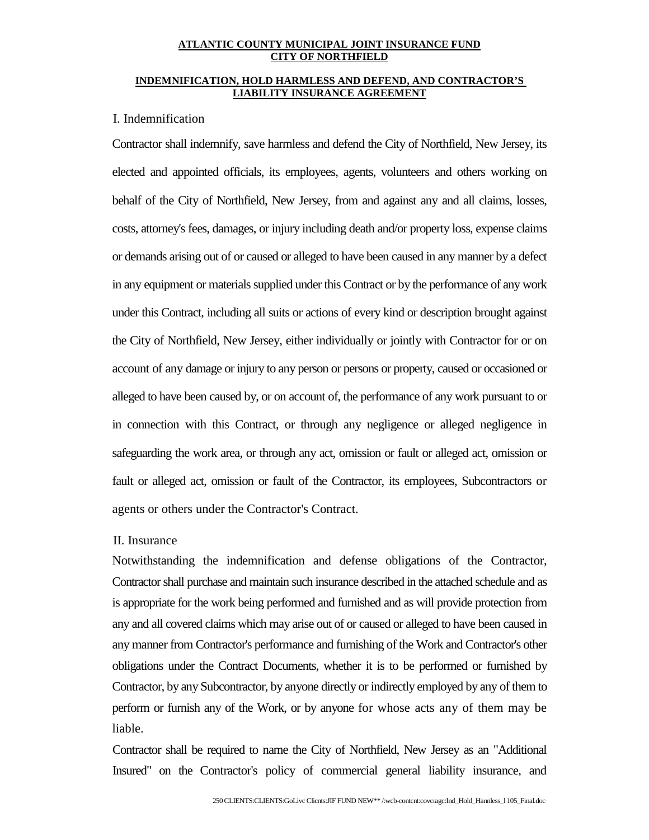#### **ATLANTIC COUNTY MUNICIPAL JOINT INSURANCE FUND CITY OF NORTHFIELD**

### **INDEMNIFICATION, HOLD HARMLESS AND DEFEND, AND CONTRACTOR'S LIABILITY INSURANCE AGREEMENT**

# I. Indemnification

Contractor shall indemnify, save harmless and defend the City of Northfield, New Jersey, its elected and appointed officials, its employees, agents, volunteers and others working on behalf of the City of Northfield, New Jersey, from and against any and all claims, losses, costs, attorney's fees, damages, or injury including death and/or property loss, expense claims or demands arising out of or caused or alleged to have been caused in any manner by a defect in any equipment or materials supplied under this Contract or by the performance of any work under this Contract, including all suits or actions of every kind or description brought against the City of Northfield, New Jersey, either individually or jointly with Contractor for or on account of any damage or injury to any person or persons or property, caused or occasioned or alleged to have been caused by, or on account of, the performance of any work pursuant to or in connection with this Contract, or through any negligence or alleged negligence in safeguarding the work area, or through any act, omission or fault or alleged act, omission or fault or alleged act, omission or fault of the Contractor, its employees, Subcontractors or agents or others under the Contractor's Contract.

# II. Insurance

Notwithstanding the indemnification and defense obligations of the Contractor, Contractor shall purchase and maintain such insurance described in the attached schedule and as is appropriate for the work being performed and furnished and as will provide protection from any and all covered claims which may arise out of or caused or alleged to have been caused in any manner from Contractor's performance and furnishing of the Work and Contractor's other obligations under the Contract Documents, whether it is to be performed or furnished by Contractor, by any Subcontractor, by anyone directly or indirectly employed by any of them to perform or furnish any of the Work, or by anyone for whose acts any of them may be liable.

Contractor shall be required to name the City of Northfield, New Jersey as an "Additional Insured" on the Contractor's policy of commercial general liability insurance, and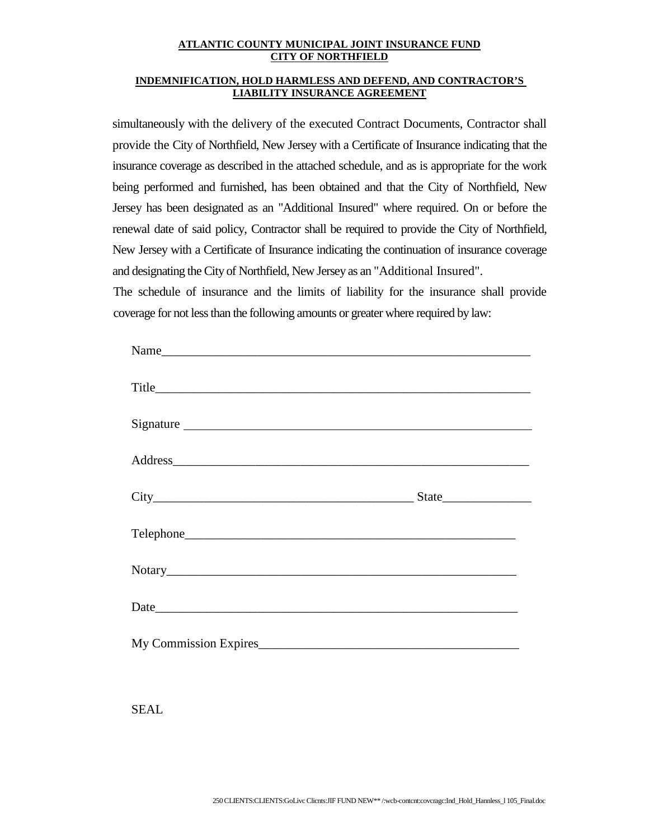# **ATLANTIC COUNTY MUNICIPAL JOINT INSURANCE FUND CITY OF NORTHFIELD**

## **INDEMNIFICATION, HOLD HARMLESS AND DEFEND, AND CONTRACTOR'S LIABILITY INSURANCE AGREEMENT**

simultaneously with the delivery of the executed Contract Documents, Contractor shall provide the City of Northfield, New Jersey with a Certificate of Insurance indicating that the insurance coverage as described in the attached schedule, and as is appropriate for the work being performed and furnished, has been obtained and that the City of Northfield, New Jersey has been designated as an "Additional Insured" where required. On or before the renewal date of said policy, Contractor shall be required to provide the City of Northfield, New Jersey with a Certificate of Insurance indicating the continuation of insurance coverage and designating the City of Northfield, New Jersey as an "Additional Insured".

The schedule of insurance and the limits of liability for the insurance shall provide coverage for not less than the following amounts or greater where required by law:

| Name                  |  |
|-----------------------|--|
|                       |  |
|                       |  |
|                       |  |
|                       |  |
|                       |  |
|                       |  |
|                       |  |
| My Commission Expires |  |

SEAL